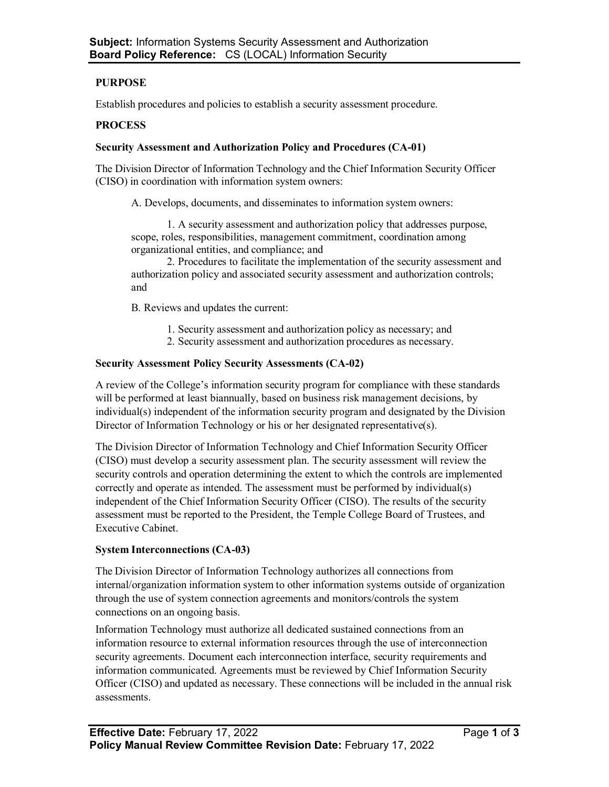# **PURPOSE**

Establish procedures and policies to establish a security assessment procedure.

## **PROCESS**

### **Security Assessment and Authorization Policy and Procedures (CA-01)**

The Division Director of Information Technology and the Chief Information Security Officer (CISO) in coordination with information system owners:

A. Develops, documents, and disseminates to information system owners:

1. A security assessment and authorization policy that addresses purpose, scope, roles, responsibilities, management commitment, coordination among organizational entities, and compliance; and

2. Procedures to facilitate the implementation of the security assessment and authorization policy and associated security assessment and authorization controls; and

B. Reviews and updates the current:

- 1. Security assessment and authorization policy as necessary; and
- 2. Security assessment and authorization procedures as necessary.

### **Security Assessment Policy Security Assessments (CA-02)**

A review of the College's information security program for compliance with these standards will be performed at least biannually, based on business risk management decisions, by individual(s) independent of the information security program and designated by the Division Director of Information Technology or his or her designated representative(s).

The Division Director of Information Technology and Chief Information Security Officer (CISO) must develop a security assessment plan. The security assessment will review the security controls and operation determining the extent to which the controls are implemented correctly and operate as intended. The assessment must be performed by individual(s) independent of the Chief Information Security Officer (CISO). The results of the security assessment must be reported to the President, the Temple College Board of Trustees, and Executive Cabinet.

# **System Interconnections (CA-03)**

The Division Director of Information Technology authorizes all connections from internal/organization information system to other information systems outside of organization through the use of system connection agreements and monitors/controls the system connections on an ongoing basis.

Information Technology must authorize all dedicated sustained connections from an information resource to external information resources through the use of interconnection security agreements. Document each interconnection interface, security requirements and information communicated. Agreements must be reviewed by Chief Information Security Officer (CISO) and updated as necessary. These connections will be included in the annual risk assessments.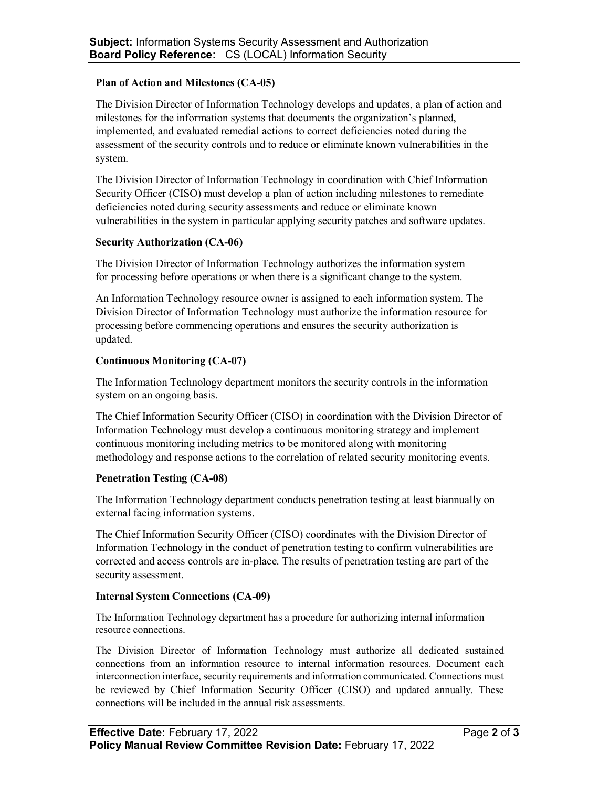## **Plan of Action and Milestones (CA-05)**

The Division Director of Information Technology develops and updates, a plan of action and milestones for the information systems that documents the organization's planned, implemented, and evaluated remedial actions to correct deficiencies noted during the assessment of the security controls and to reduce or eliminate known vulnerabilities in the system.

The Division Director of Information Technology in coordination with Chief Information Security Officer (CISO) must develop a plan of action including milestones to remediate deficiencies noted during security assessments and reduce or eliminate known vulnerabilities in the system in particular applying security patches and software updates.

### **Security Authorization (CA-06)**

The Division Director of Information Technology authorizes the information system for processing before operations or when there is a significant change to the system.

An Information Technology resource owner is assigned to each information system. The Division Director of Information Technology must authorize the information resource for processing before commencing operations and ensures the security authorization is updated.

# **Continuous Monitoring (CA-07)**

The Information Technology department monitors the security controls in the information system on an ongoing basis.

The Chief Information Security Officer (CISO) in coordination with the Division Director of Information Technology must develop a continuous monitoring strategy and implement continuous monitoring including metrics to be monitored along with monitoring methodology and response actions to the correlation of related security monitoring events.

# **Penetration Testing (CA-08)**

The Information Technology department conducts penetration testing at least biannually on external facing information systems.

The Chief Information Security Officer (CISO) coordinates with the Division Director of Information Technology in the conduct of penetration testing to confirm vulnerabilities are corrected and access controls are in-place. The results of penetration testing are part of the security assessment.

# **Internal System Connections (CA-09)**

The Information Technology department has a procedure for authorizing internal information resource connections.

The Division Director of Information Technology must authorize all dedicated sustained connections from an information resource to internal information resources. Document each interconnection interface, security requirements and information communicated. Connections must be reviewed by Chief Information Security Officer (CISO) and updated annually. These connections will be included in the annual risk assessments.